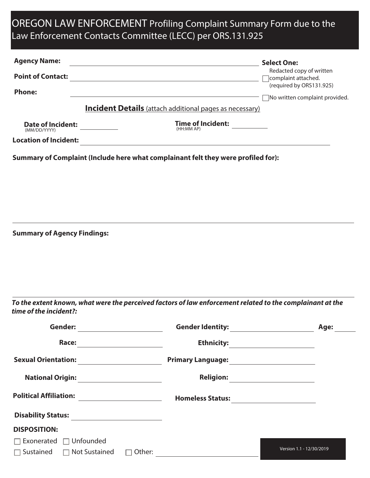## OREGON LAW ENFORCEMENT Profiling Complaint Summary Form due to the Law Enforcement Contacts Committee (LECC) per ORS.131.925

| <b>Agency Name:</b>                      | <u> 1980 - Johann Barbara, martxa alemaniar amerikan a</u>                                                | <b>Select One:</b>                              |
|------------------------------------------|-----------------------------------------------------------------------------------------------------------|-------------------------------------------------|
| <b>Point of Contact:</b>                 | <u> 1989 - Johann Stein, mars an deutscher Stein († 1958)</u>                                             | Redacted copy of written<br>complaint attached. |
| <b>Phone:</b>                            |                                                                                                           | (required by ORS131.925)                        |
|                                          | <b>Incident Details</b> (attach additional pages as necessary)                                            | No written complaint provided.                  |
|                                          |                                                                                                           |                                                 |
| <b>Date of Incident:</b><br>(MM/DD/YYYY) | Time of Incident:<br>(HH:MM AP)                                                                           |                                                 |
| <b>Location of Incident:</b>             |                                                                                                           |                                                 |
|                                          | Summary of Complaint (Include here what complainant felt they were profiled for):                         |                                                 |
|                                          |                                                                                                           |                                                 |
|                                          |                                                                                                           |                                                 |
|                                          |                                                                                                           |                                                 |
|                                          |                                                                                                           |                                                 |
|                                          |                                                                                                           |                                                 |
| <b>Summary of Agency Findings:</b>       |                                                                                                           |                                                 |
|                                          |                                                                                                           |                                                 |
|                                          |                                                                                                           |                                                 |
|                                          |                                                                                                           |                                                 |
|                                          |                                                                                                           |                                                 |
|                                          | To the extent known, what were the perceived factors of law enforcement related to the complainant at the |                                                 |
| time of the incident?:                   |                                                                                                           |                                                 |
| <b>Gender:</b>                           |                                                                                                           | Age:                                            |
|                                          |                                                                                                           |                                                 |
|                                          |                                                                                                           |                                                 |
|                                          |                                                                                                           |                                                 |
|                                          |                                                                                                           |                                                 |
|                                          |                                                                                                           |                                                 |
|                                          |                                                                                                           |                                                 |
|                                          |                                                                                                           |                                                 |
| <b>DISPOSITION:</b>                      |                                                                                                           |                                                 |

□ Exonerated □ Unfounded

Sustained Not Sustained Other: Version 1.1 - 12/30/201<sup>9</sup>